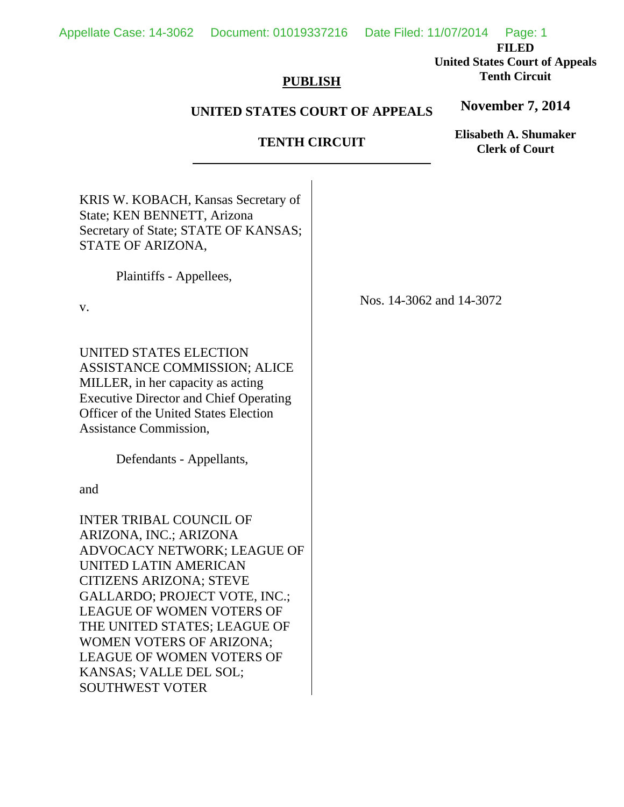**FILED United States Court of Appeals Tenth Circuit** 

**November 7, 2014**

**Elisabeth A. Shumaker** 

# **PUBLISH**

# **UNITED STATES COURT OF APPEALS**

# **TENTH CIRCUIT**   $\overline{a}$ KRIS W. KOBACH, Kansas Secretary of State; KEN BENNETT, Arizona Secretary of State; STATE OF KANSAS; STATE OF ARIZONA, Plaintiffs - Appellees, v. UNITED STATES ELECTION ASSISTANCE COMMISSION; ALICE MILLER, in her capacity as acting Executive Director and Chief Operating Officer of the United States Election Assistance Commission, Defendants - Appellants, and INTER TRIBAL COUNCIL OF ARIZONA, INC.; ARIZONA ADVOCACY NETWORK; LEAGUE OF UNITED LATIN AMERICAN CITIZENS ARIZONA; STEVE GALLARDO; PROJECT VOTE, INC.; LEAGUE OF WOMEN VOTERS OF THE UNITED STATES; LEAGUE OF WOMEN VOTERS OF ARIZONA; LEAGUE OF WOMEN VOTERS OF KANSAS; VALLE DEL SOL; SOUTHWEST VOTER Nos. 14-3062 and 14-3072 **Clerk of Court**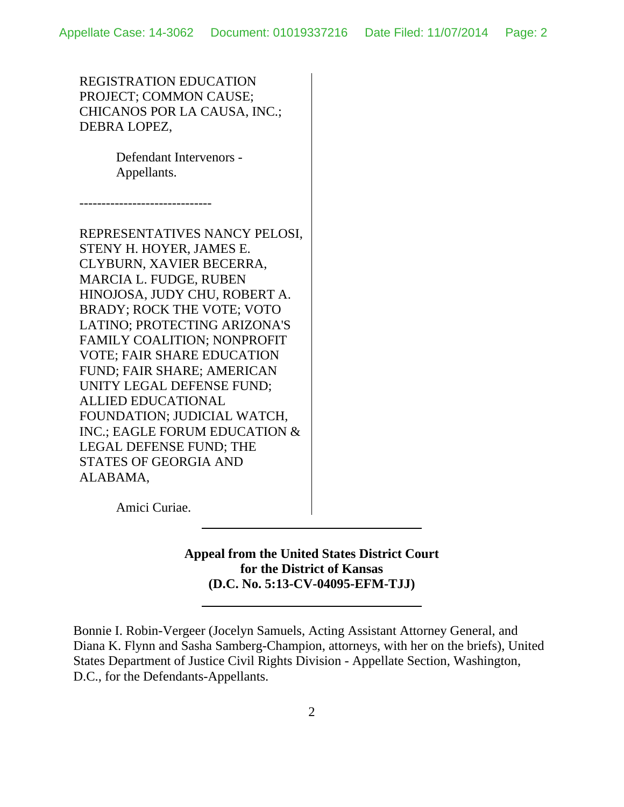REGISTRATION EDUCATION PROJECT; COMMON CAUSE; CHICANOS POR LA CAUSA, INC.; DEBRA LOPEZ,

> Defendant Intervenors - Appellants.

------------------------------

REPRESENTATIVES NANCY PELOSI, STENY H. HOYER, JAMES E. CLYBURN, XAVIER BECERRA, MARCIA L. FUDGE, RUBEN HINOJOSA, JUDY CHU, ROBERT A. BRADY; ROCK THE VOTE; VOTO LATINO; PROTECTING ARIZONA'S FAMILY COALITION; NONPROFIT VOTE; FAIR SHARE EDUCATION FUND; FAIR SHARE; AMERICAN UNITY LEGAL DEFENSE FUND; ALLIED EDUCATIONAL FOUNDATION; JUDICIAL WATCH, INC.; EAGLE FORUM EDUCATION & LEGAL DEFENSE FUND; THE STATES OF GEORGIA AND ALABAMA,

 $\overline{a}$ 

Amici Curiae.

**Appeal from the United States District Court for the District of Kansas (D.C. No. 5:13-CV-04095-EFM-TJJ)**

Bonnie I. Robin-Vergeer (Jocelyn Samuels, Acting Assistant Attorney General, and Diana K. Flynn and Sasha Samberg-Champion, attorneys, with her on the briefs), United States Department of Justice Civil Rights Division - Appellate Section, Washington, D.C., for the Defendants-Appellants.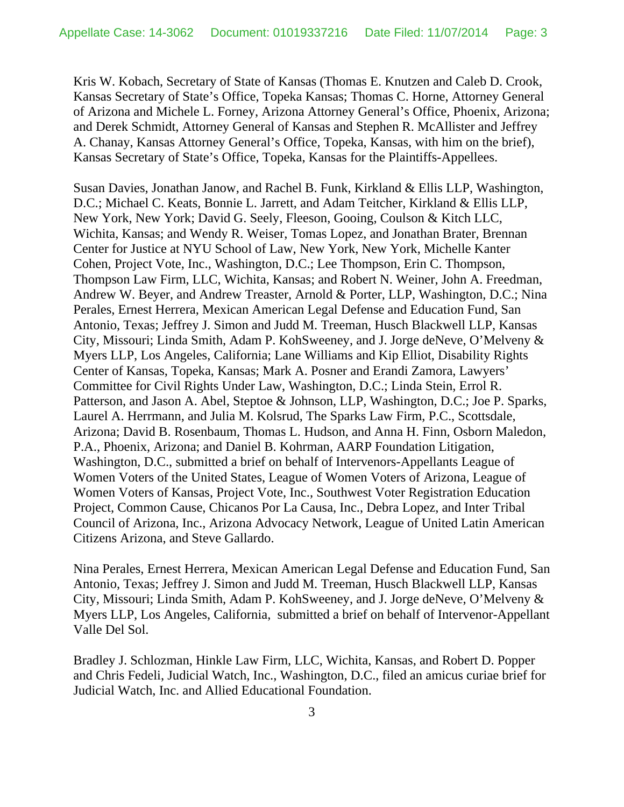Kris W. Kobach, Secretary of State of Kansas (Thomas E. Knutzen and Caleb D. Crook, Kansas Secretary of State's Office, Topeka Kansas; Thomas C. Horne, Attorney General of Arizona and Michele L. Forney, Arizona Attorney General's Office, Phoenix, Arizona; and Derek Schmidt, Attorney General of Kansas and Stephen R. McAllister and Jeffrey A. Chanay, Kansas Attorney General's Office, Topeka, Kansas, with him on the brief), Kansas Secretary of State's Office, Topeka, Kansas for the Plaintiffs-Appellees.

Susan Davies, Jonathan Janow, and Rachel B. Funk, Kirkland & Ellis LLP, Washington, D.C.; Michael C. Keats, Bonnie L. Jarrett, and Adam Teitcher, Kirkland & Ellis LLP, New York, New York; David G. Seely, Fleeson, Gooing, Coulson & Kitch LLC, Wichita, Kansas; and Wendy R. Weiser, Tomas Lopez, and Jonathan Brater, Brennan Center for Justice at NYU School of Law, New York, New York, Michelle Kanter Cohen, Project Vote, Inc., Washington, D.C.; Lee Thompson, Erin C. Thompson, Thompson Law Firm, LLC, Wichita, Kansas; and Robert N. Weiner, John A. Freedman, Andrew W. Beyer, and Andrew Treaster, Arnold & Porter, LLP, Washington, D.C.; Nina Perales, Ernest Herrera, Mexican American Legal Defense and Education Fund, San Antonio, Texas; Jeffrey J. Simon and Judd M. Treeman, Husch Blackwell LLP, Kansas City, Missouri; Linda Smith, Adam P. KohSweeney, and J. Jorge deNeve, O'Melveny & Myers LLP, Los Angeles, California; Lane Williams and Kip Elliot, Disability Rights Center of Kansas, Topeka, Kansas; Mark A. Posner and Erandi Zamora, Lawyers' Committee for Civil Rights Under Law, Washington, D.C.; Linda Stein, Errol R. Patterson, and Jason A. Abel, Steptoe & Johnson, LLP, Washington, D.C.; Joe P. Sparks, Laurel A. Herrmann, and Julia M. Kolsrud, The Sparks Law Firm, P.C., Scottsdale, Arizona; David B. Rosenbaum, Thomas L. Hudson, and Anna H. Finn, Osborn Maledon, P.A., Phoenix, Arizona; and Daniel B. Kohrman, AARP Foundation Litigation, Washington, D.C., submitted a brief on behalf of Intervenors-Appellants League of Women Voters of the United States, League of Women Voters of Arizona, League of Women Voters of Kansas, Project Vote, Inc., Southwest Voter Registration Education Project, Common Cause, Chicanos Por La Causa, Inc., Debra Lopez, and Inter Tribal Council of Arizona, Inc., Arizona Advocacy Network, League of United Latin American Citizens Arizona, and Steve Gallardo.

Nina Perales, Ernest Herrera, Mexican American Legal Defense and Education Fund, San Antonio, Texas; Jeffrey J. Simon and Judd M. Treeman, Husch Blackwell LLP, Kansas City, Missouri; Linda Smith, Adam P. KohSweeney, and J. Jorge deNeve, O'Melveny & Myers LLP, Los Angeles, California, submitted a brief on behalf of Intervenor-Appellant Valle Del Sol.

Bradley J. Schlozman, Hinkle Law Firm, LLC, Wichita, Kansas, and Robert D. Popper and Chris Fedeli, Judicial Watch, Inc., Washington, D.C., filed an amicus curiae brief for Judicial Watch, Inc. and Allied Educational Foundation.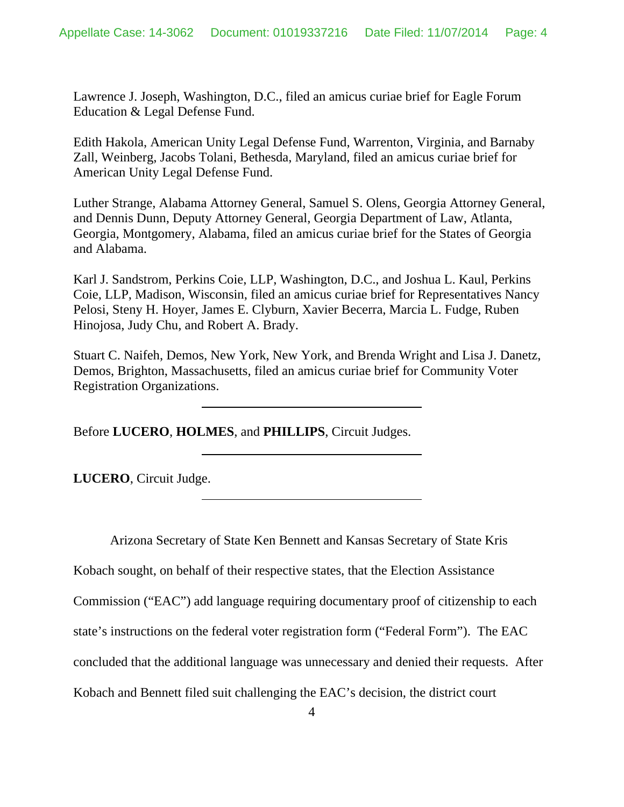Lawrence J. Joseph, Washington, D.C., filed an amicus curiae brief for Eagle Forum Education & Legal Defense Fund.

Edith Hakola, American Unity Legal Defense Fund, Warrenton, Virginia, and Barnaby Zall, Weinberg, Jacobs Tolani, Bethesda, Maryland, filed an amicus curiae brief for American Unity Legal Defense Fund.

Luther Strange, Alabama Attorney General, Samuel S. Olens, Georgia Attorney General, and Dennis Dunn, Deputy Attorney General, Georgia Department of Law, Atlanta, Georgia, Montgomery, Alabama, filed an amicus curiae brief for the States of Georgia and Alabama.

Karl J. Sandstrom, Perkins Coie, LLP, Washington, D.C., and Joshua L. Kaul, Perkins Coie, LLP, Madison, Wisconsin, filed an amicus curiae brief for Representatives Nancy Pelosi, Steny H. Hoyer, James E. Clyburn, Xavier Becerra, Marcia L. Fudge, Ruben Hinojosa, Judy Chu, and Robert A. Brady.

Stuart C. Naifeh, Demos, New York, New York, and Brenda Wright and Lisa J. Danetz, Demos, Brighton, Massachusetts, filed an amicus curiae brief for Community Voter Registration Organizations.

Before **LUCERO**, **HOLMES**, and **PHILLIPS**, Circuit Judges.

 $\overline{\phantom{a}}$ 

 $\overline{a}$ 

**LUCERO**, Circuit Judge.

Arizona Secretary of State Ken Bennett and Kansas Secretary of State Kris

Kobach sought, on behalf of their respective states, that the Election Assistance

Commission ("EAC") add language requiring documentary proof of citizenship to each

state's instructions on the federal voter registration form ("Federal Form"). The EAC

concluded that the additional language was unnecessary and denied their requests. After

Kobach and Bennett filed suit challenging the EAC's decision, the district court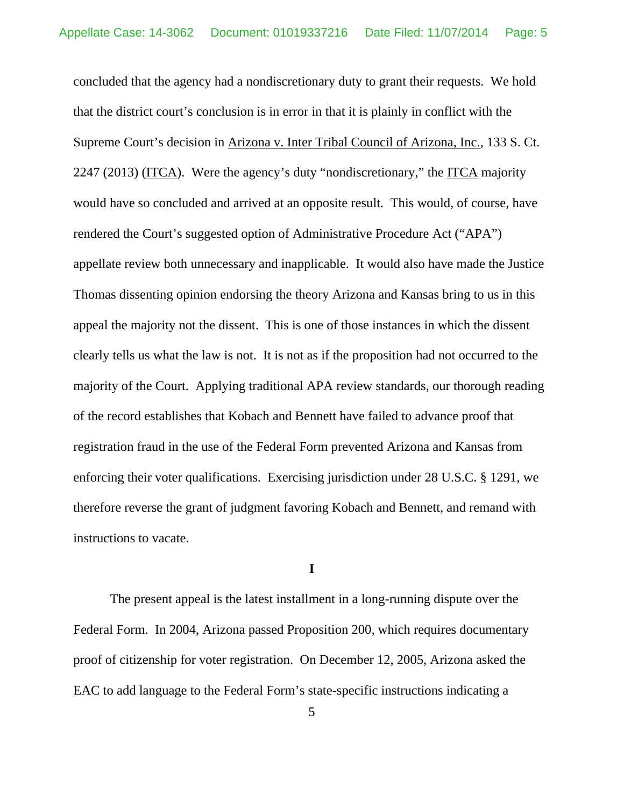concluded that the agency had a nondiscretionary duty to grant their requests. We hold that the district court's conclusion is in error in that it is plainly in conflict with the Supreme Court's decision in Arizona v. Inter Tribal Council of Arizona, Inc., 133 S. Ct. 2247 (2013) (ITCA). Were the agency's duty "nondiscretionary," the ITCA majority would have so concluded and arrived at an opposite result. This would, of course, have rendered the Court's suggested option of Administrative Procedure Act ("APA") appellate review both unnecessary and inapplicable. It would also have made the Justice Thomas dissenting opinion endorsing the theory Arizona and Kansas bring to us in this appeal the majority not the dissent. This is one of those instances in which the dissent clearly tells us what the law is not. It is not as if the proposition had not occurred to the majority of the Court. Applying traditional APA review standards, our thorough reading of the record establishes that Kobach and Bennett have failed to advance proof that registration fraud in the use of the Federal Form prevented Arizona and Kansas from enforcing their voter qualifications. Exercising jurisdiction under 28 U.S.C. § 1291, we therefore reverse the grant of judgment favoring Kobach and Bennett, and remand with instructions to vacate.

## **I**

The present appeal is the latest installment in a long-running dispute over the Federal Form. In 2004, Arizona passed Proposition 200, which requires documentary proof of citizenship for voter registration. On December 12, 2005, Arizona asked the EAC to add language to the Federal Form's state-specific instructions indicating a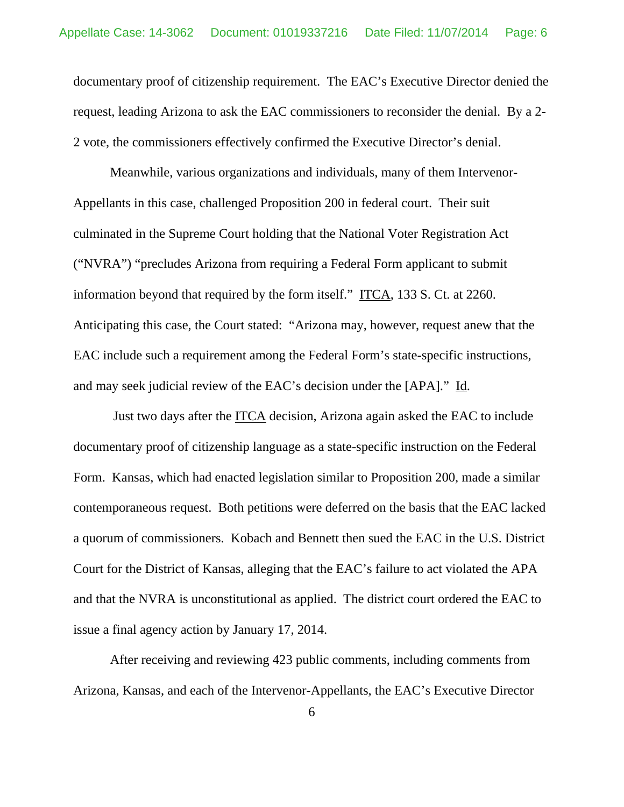documentary proof of citizenship requirement. The EAC's Executive Director denied the request, leading Arizona to ask the EAC commissioners to reconsider the denial. By a 2- 2 vote, the commissioners effectively confirmed the Executive Director's denial.

Meanwhile, various organizations and individuals, many of them Intervenor-Appellants in this case, challenged Proposition 200 in federal court. Their suit culminated in the Supreme Court holding that the National Voter Registration Act ("NVRA") "precludes Arizona from requiring a Federal Form applicant to submit information beyond that required by the form itself." ITCA, 133 S. Ct. at 2260. Anticipating this case, the Court stated: "Arizona may, however, request anew that the EAC include such a requirement among the Federal Form's state-specific instructions, and may seek judicial review of the EAC's decision under the [APA]." Id.

 Just two days after the ITCA decision, Arizona again asked the EAC to include documentary proof of citizenship language as a state-specific instruction on the Federal Form. Kansas, which had enacted legislation similar to Proposition 200, made a similar contemporaneous request. Both petitions were deferred on the basis that the EAC lacked a quorum of commissioners. Kobach and Bennett then sued the EAC in the U.S. District Court for the District of Kansas, alleging that the EAC's failure to act violated the APA and that the NVRA is unconstitutional as applied. The district court ordered the EAC to issue a final agency action by January 17, 2014.

After receiving and reviewing 423 public comments, including comments from Arizona, Kansas, and each of the Intervenor-Appellants, the EAC's Executive Director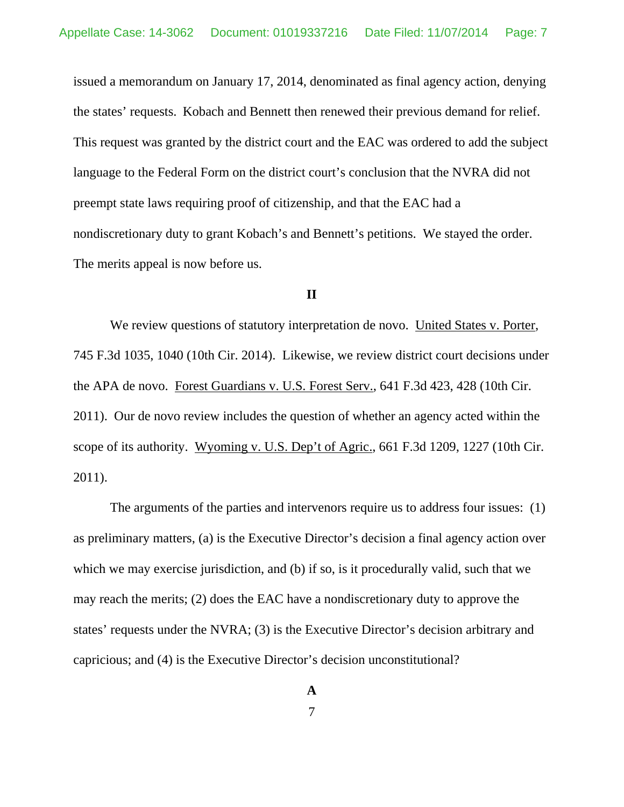issued a memorandum on January 17, 2014, denominated as final agency action, denying the states' requests. Kobach and Bennett then renewed their previous demand for relief. This request was granted by the district court and the EAC was ordered to add the subject language to the Federal Form on the district court's conclusion that the NVRA did not preempt state laws requiring proof of citizenship, and that the EAC had a nondiscretionary duty to grant Kobach's and Bennett's petitions. We stayed the order. The merits appeal is now before us.

### **II**

We review questions of statutory interpretation de novo. United States v. Porter, 745 F.3d 1035, 1040 (10th Cir. 2014). Likewise, we review district court decisions under the APA de novo. Forest Guardians v. U.S. Forest Serv., 641 F.3d 423, 428 (10th Cir. 2011). Our de novo review includes the question of whether an agency acted within the scope of its authority. Wyoming v. U.S. Dep't of Agric., 661 F.3d 1209, 1227 (10th Cir. 2011).

The arguments of the parties and intervenors require us to address four issues: (1) as preliminary matters, (a) is the Executive Director's decision a final agency action over which we may exercise jurisdiction, and (b) if so, is it procedurally valid, such that we may reach the merits; (2) does the EAC have a nondiscretionary duty to approve the states' requests under the NVRA; (3) is the Executive Director's decision arbitrary and capricious; and (4) is the Executive Director's decision unconstitutional?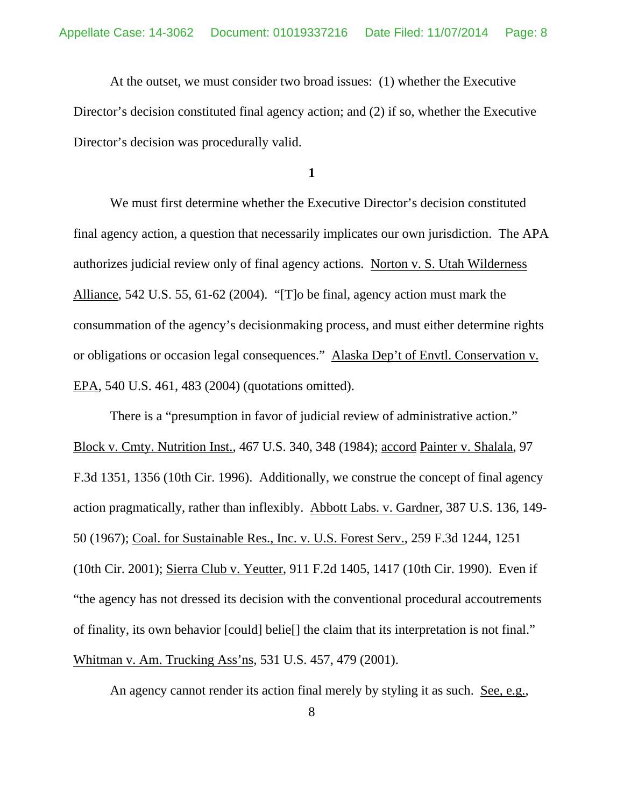At the outset, we must consider two broad issues: (1) whether the Executive Director's decision constituted final agency action; and (2) if so, whether the Executive Director's decision was procedurally valid.

**1** 

We must first determine whether the Executive Director's decision constituted final agency action, a question that necessarily implicates our own jurisdiction. The APA authorizes judicial review only of final agency actions. Norton v. S. Utah Wilderness Alliance, 542 U.S. 55, 61-62 (2004). "[T]o be final, agency action must mark the consummation of the agency's decisionmaking process, and must either determine rights or obligations or occasion legal consequences." Alaska Dep't of Envtl. Conservation v. EPA, 540 U.S. 461, 483 (2004) (quotations omitted).

There is a "presumption in favor of judicial review of administrative action." Block v. Cmty. Nutrition Inst., 467 U.S. 340, 348 (1984); accord Painter v. Shalala, 97 F.3d 1351, 1356 (10th Cir. 1996). Additionally, we construe the concept of final agency action pragmatically, rather than inflexibly. Abbott Labs. v. Gardner, 387 U.S. 136, 149- 50 (1967); Coal. for Sustainable Res., Inc. v. U.S. Forest Serv., 259 F.3d 1244, 1251 (10th Cir. 2001); Sierra Club v. Yeutter, 911 F.2d 1405, 1417 (10th Cir. 1990). Even if "the agency has not dressed its decision with the conventional procedural accoutrements of finality, its own behavior [could] belie[] the claim that its interpretation is not final." Whitman v. Am. Trucking Ass'ns, 531 U.S. 457, 479 (2001).

An agency cannot render its action final merely by styling it as such. See, e.g.,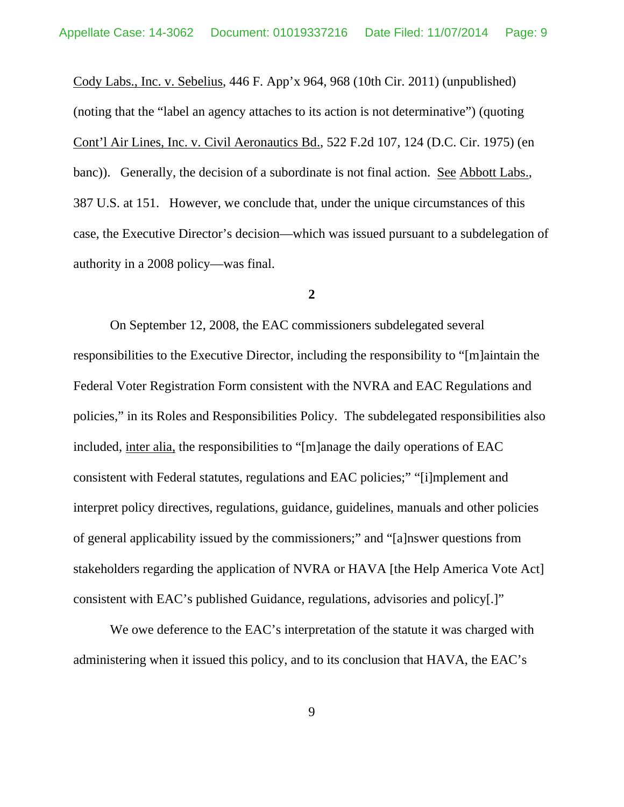Cody Labs., Inc. v. Sebelius, 446 F. App'x 964, 968 (10th Cir. 2011) (unpublished) (noting that the "label an agency attaches to its action is not determinative") (quoting Cont'l Air Lines, Inc. v. Civil Aeronautics Bd., 522 F.2d 107, 124 (D.C. Cir. 1975) (en banc)). Generally, the decision of a subordinate is not final action. See Abbott Labs., 387 U.S. at 151. However, we conclude that, under the unique circumstances of this case, the Executive Director's decision—which was issued pursuant to a subdelegation of authority in a 2008 policy—was final.

#### **2**

On September 12, 2008, the EAC commissioners subdelegated several responsibilities to the Executive Director, including the responsibility to "[m]aintain the Federal Voter Registration Form consistent with the NVRA and EAC Regulations and policies," in its Roles and Responsibilities Policy. The subdelegated responsibilities also included, inter alia, the responsibilities to "[m]anage the daily operations of EAC consistent with Federal statutes, regulations and EAC policies;" "[i]mplement and interpret policy directives, regulations, guidance, guidelines, manuals and other policies of general applicability issued by the commissioners;" and "[a]nswer questions from stakeholders regarding the application of NVRA or HAVA [the Help America Vote Act] consistent with EAC's published Guidance, regulations, advisories and policy[.]"

We owe deference to the EAC's interpretation of the statute it was charged with administering when it issued this policy, and to its conclusion that HAVA, the EAC's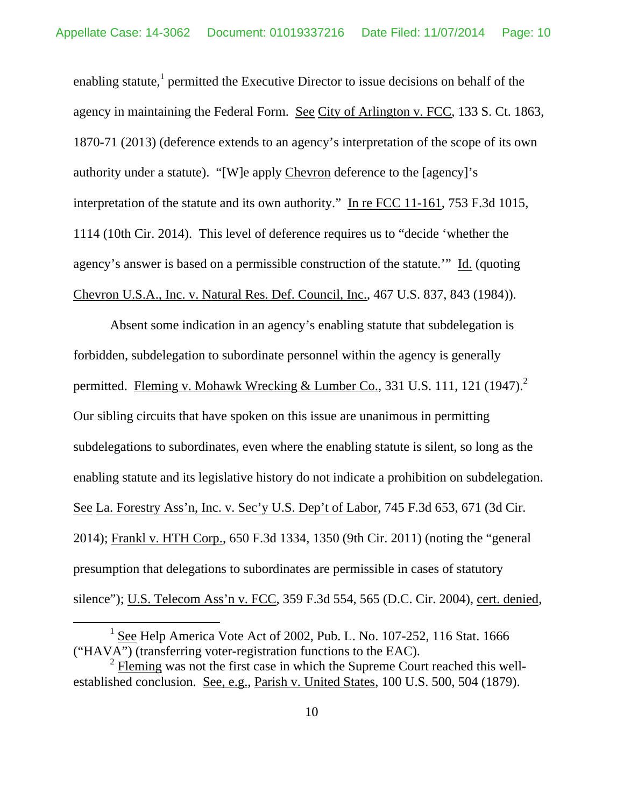enabling statute,<sup>1</sup> permitted the Executive Director to issue decisions on behalf of the agency in maintaining the Federal Form. See City of Arlington v. FCC, 133 S. Ct. 1863, 1870-71 (2013) (deference extends to an agency's interpretation of the scope of its own authority under a statute). "[W]e apply Chevron deference to the [agency]'s interpretation of the statute and its own authority." In re FCC 11-161, 753 F.3d 1015, 1114 (10th Cir. 2014). This level of deference requires us to "decide 'whether the agency's answer is based on a permissible construction of the statute.'" Id. (quoting Chevron U.S.A., Inc. v. Natural Res. Def. Council, Inc., 467 U.S. 837, 843 (1984)).

Absent some indication in an agency's enabling statute that subdelegation is forbidden, subdelegation to subordinate personnel within the agency is generally permitted. Fleming v. Mohawk Wrecking & Lumber Co., 331 U.S. 111, 121 (1947).<sup>2</sup> Our sibling circuits that have spoken on this issue are unanimous in permitting subdelegations to subordinates, even where the enabling statute is silent, so long as the enabling statute and its legislative history do not indicate a prohibition on subdelegation. See La. Forestry Ass'n, Inc. v. Sec'y U.S. Dep't of Labor, 745 F.3d 653, 671 (3d Cir. 2014); Frankl v. HTH Corp., 650 F.3d 1334, 1350 (9th Cir. 2011) (noting the "general presumption that delegations to subordinates are permissible in cases of statutory silence"); U.S. Telecom Ass'n v. FCC, 359 F.3d 554, 565 (D.C. Cir. 2004), cert. denied,

<sup>&</sup>lt;u>1</u> <sup>1</sup> See Help America Vote Act of 2002, Pub. L. No. 107-252, 116 Stat. 1666 ("HAVA") (transferring voter-registration functions to the EAC).

<sup>2</sup> Fleming was not the first case in which the Supreme Court reached this wellestablished conclusion. See, e.g., Parish v. United States, 100 U.S. 500, 504 (1879).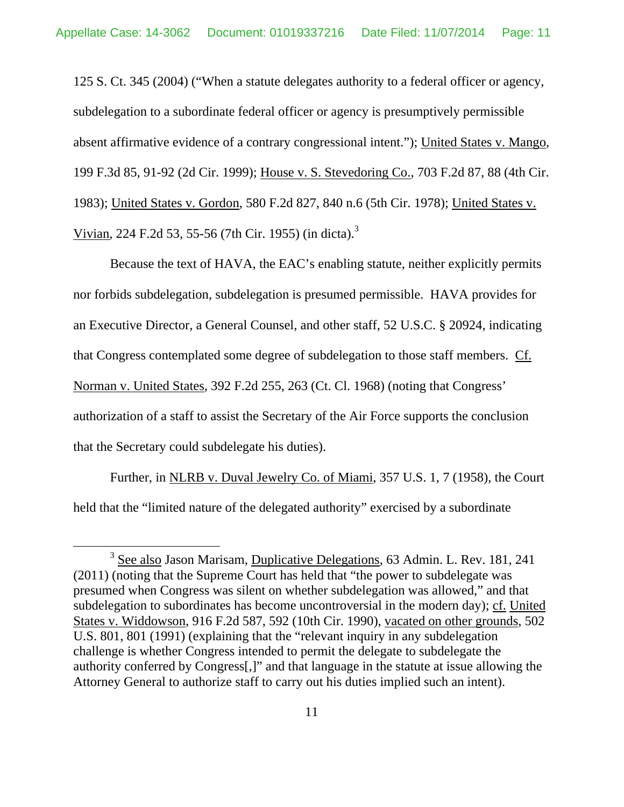125 S. Ct. 345 (2004) ("When a statute delegates authority to a federal officer or agency, subdelegation to a subordinate federal officer or agency is presumptively permissible absent affirmative evidence of a contrary congressional intent."); United States v. Mango, 199 F.3d 85, 91-92 (2d Cir. 1999); House v. S. Stevedoring Co., 703 F.2d 87, 88 (4th Cir. 1983); United States v. Gordon, 580 F.2d 827, 840 n.6 (5th Cir. 1978); United States v. Vivian, 224 F.2d 53, 55-56 (7th Cir. 1955) (in dicta).3

Because the text of HAVA, the EAC's enabling statute, neither explicitly permits nor forbids subdelegation, subdelegation is presumed permissible. HAVA provides for an Executive Director, a General Counsel, and other staff, 52 U.S.C. § 20924, indicating that Congress contemplated some degree of subdelegation to those staff members. Cf. Norman v. United States, 392 F.2d 255, 263 (Ct. Cl. 1968) (noting that Congress' authorization of a staff to assist the Secretary of the Air Force supports the conclusion that the Secretary could subdelegate his duties).

Further, in NLRB v. Duval Jewelry Co. of Miami, 357 U.S. 1, 7 (1958), the Court held that the "limited nature of the delegated authority" exercised by a subordinate

 $\frac{1}{3}$ <sup>3</sup> See also Jason Marisam, Duplicative Delegations, 63 Admin. L. Rev. 181, 241 (2011) (noting that the Supreme Court has held that "the power to subdelegate was presumed when Congress was silent on whether subdelegation was allowed," and that subdelegation to subordinates has become uncontroversial in the modern day); cf. United States v. Widdowson, 916 F.2d 587, 592 (10th Cir. 1990), vacated on other grounds, 502 U.S. 801, 801 (1991) (explaining that the "relevant inquiry in any subdelegation challenge is whether Congress intended to permit the delegate to subdelegate the authority conferred by Congress[,]" and that language in the statute at issue allowing the Attorney General to authorize staff to carry out his duties implied such an intent).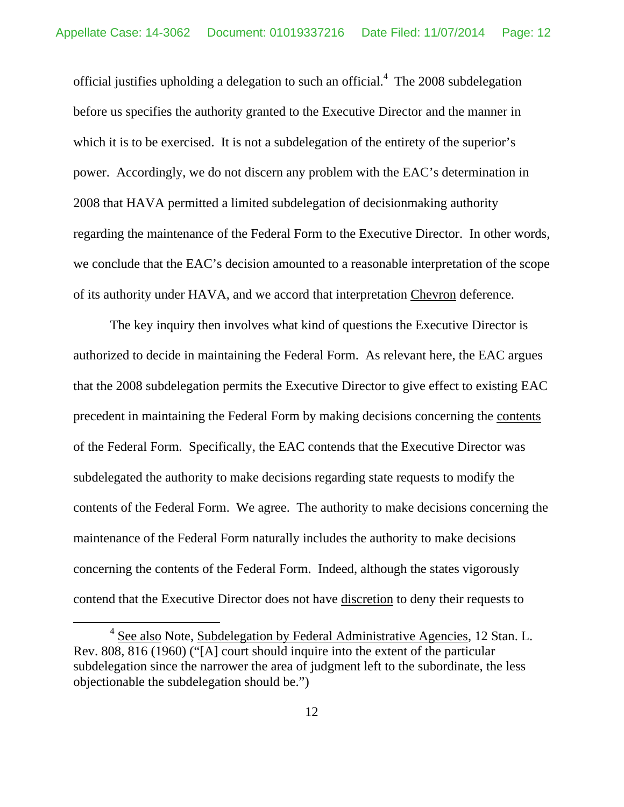official justifies upholding a delegation to such an official. $4$  The 2008 subdelegation before us specifies the authority granted to the Executive Director and the manner in which it is to be exercised. It is not a subdelegation of the entirety of the superior's power. Accordingly, we do not discern any problem with the EAC's determination in 2008 that HAVA permitted a limited subdelegation of decisionmaking authority regarding the maintenance of the Federal Form to the Executive Director. In other words, we conclude that the EAC's decision amounted to a reasonable interpretation of the scope of its authority under HAVA, and we accord that interpretation Chevron deference.

The key inquiry then involves what kind of questions the Executive Director is authorized to decide in maintaining the Federal Form. As relevant here, the EAC argues that the 2008 subdelegation permits the Executive Director to give effect to existing EAC precedent in maintaining the Federal Form by making decisions concerning the contents of the Federal Form. Specifically, the EAC contends that the Executive Director was subdelegated the authority to make decisions regarding state requests to modify the contents of the Federal Form. We agree. The authority to make decisions concerning the maintenance of the Federal Form naturally includes the authority to make decisions concerning the contents of the Federal Form. Indeed, although the states vigorously contend that the Executive Director does not have discretion to deny their requests to

 $\overline{4}$  $4$  See also Note, Subdelegation by Federal Administrative Agencies, 12 Stan. L. Rev. 808, 816 (1960) ("[A] court should inquire into the extent of the particular subdelegation since the narrower the area of judgment left to the subordinate, the less objectionable the subdelegation should be.")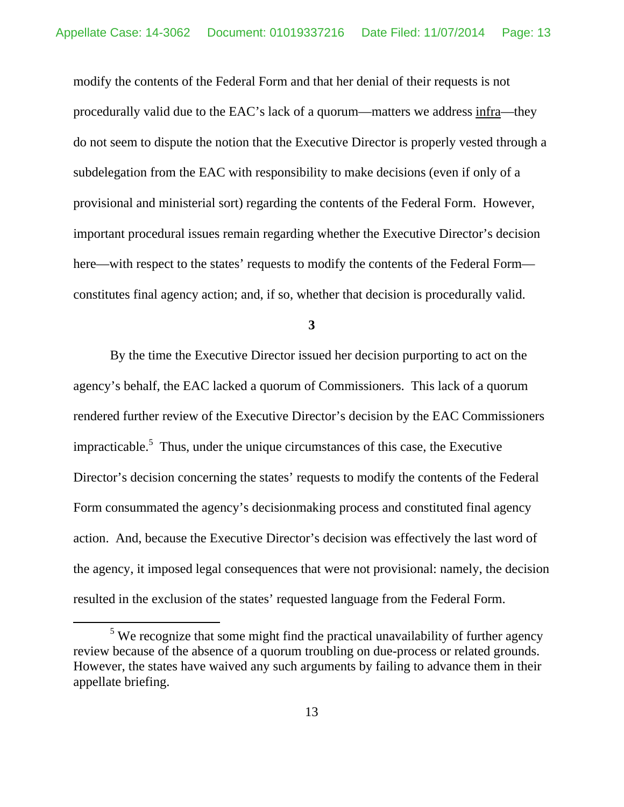modify the contents of the Federal Form and that her denial of their requests is not procedurally valid due to the EAC's lack of a quorum—matters we address infra—they do not seem to dispute the notion that the Executive Director is properly vested through a subdelegation from the EAC with responsibility to make decisions (even if only of a provisional and ministerial sort) regarding the contents of the Federal Form. However, important procedural issues remain regarding whether the Executive Director's decision here—with respect to the states' requests to modify the contents of the Federal Form constitutes final agency action; and, if so, whether that decision is procedurally valid.

**3** 

By the time the Executive Director issued her decision purporting to act on the agency's behalf, the EAC lacked a quorum of Commissioners. This lack of a quorum rendered further review of the Executive Director's decision by the EAC Commissioners impracticable.<sup>5</sup> Thus, under the unique circumstances of this case, the Executive Director's decision concerning the states' requests to modify the contents of the Federal Form consummated the agency's decisionmaking process and constituted final agency action. And, because the Executive Director's decision was effectively the last word of the agency, it imposed legal consequences that were not provisional: namely, the decision resulted in the exclusion of the states' requested language from the Federal Form.

 $\frac{1}{5}$  $5$  We recognize that some might find the practical unavailability of further agency review because of the absence of a quorum troubling on due-process or related grounds. However, the states have waived any such arguments by failing to advance them in their appellate briefing.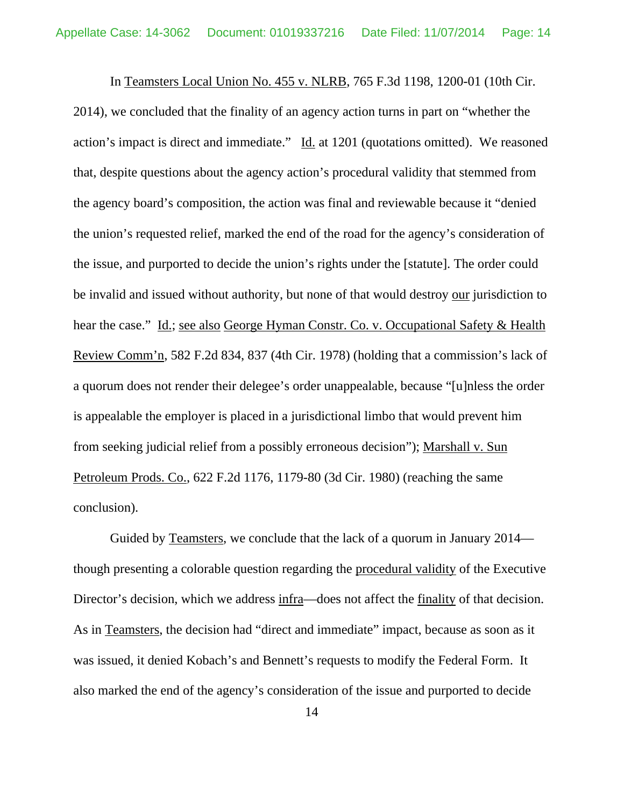In Teamsters Local Union No. 455 v. NLRB, 765 F.3d 1198, 1200-01 (10th Cir. 2014), we concluded that the finality of an agency action turns in part on "whether the action's impact is direct and immediate." Id. at 1201 (quotations omitted). We reasoned that, despite questions about the agency action's procedural validity that stemmed from the agency board's composition, the action was final and reviewable because it "denied the union's requested relief, marked the end of the road for the agency's consideration of the issue, and purported to decide the union's rights under the [statute]. The order could be invalid and issued without authority, but none of that would destroy our jurisdiction to hear the case." Id.; see also George Hyman Constr. Co. v. Occupational Safety & Health Review Comm'n, 582 F.2d 834, 837 (4th Cir. 1978) (holding that a commission's lack of a quorum does not render their delegee's order unappealable, because "[u]nless the order is appealable the employer is placed in a jurisdictional limbo that would prevent him from seeking judicial relief from a possibly erroneous decision"); Marshall v. Sun Petroleum Prods. Co., 622 F.2d 1176, 1179-80 (3d Cir. 1980) (reaching the same conclusion).

Guided by Teamsters, we conclude that the lack of a quorum in January 2014 though presenting a colorable question regarding the procedural validity of the Executive Director's decision, which we address infra—does not affect the finality of that decision. As in Teamsters, the decision had "direct and immediate" impact, because as soon as it was issued, it denied Kobach's and Bennett's requests to modify the Federal Form. It also marked the end of the agency's consideration of the issue and purported to decide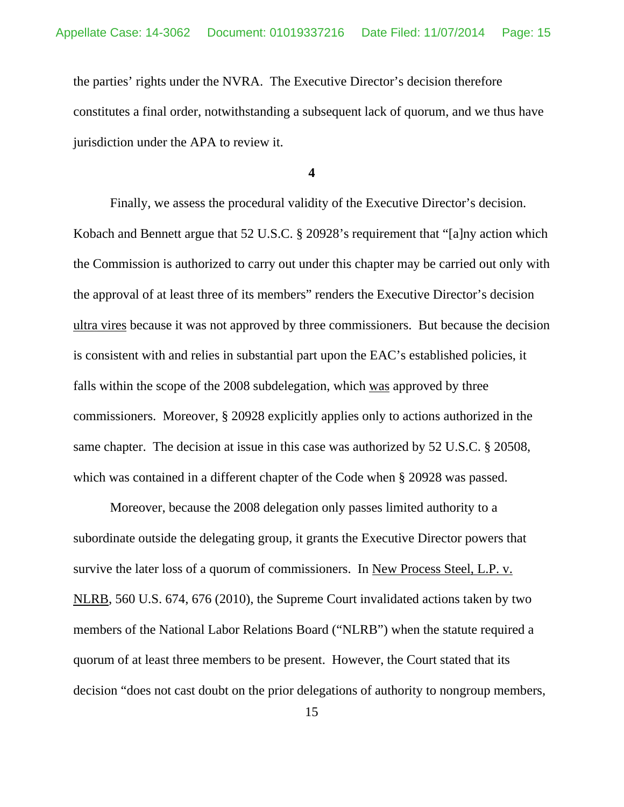the parties' rights under the NVRA. The Executive Director's decision therefore constitutes a final order, notwithstanding a subsequent lack of quorum, and we thus have jurisdiction under the APA to review it.

**4** 

Finally, we assess the procedural validity of the Executive Director's decision. Kobach and Bennett argue that 52 U.S.C. § 20928's requirement that "[a]ny action which the Commission is authorized to carry out under this chapter may be carried out only with the approval of at least three of its members" renders the Executive Director's decision ultra vires because it was not approved by three commissioners. But because the decision is consistent with and relies in substantial part upon the EAC's established policies, it falls within the scope of the 2008 subdelegation, which was approved by three commissioners. Moreover, § 20928 explicitly applies only to actions authorized in the same chapter. The decision at issue in this case was authorized by 52 U.S.C. § 20508, which was contained in a different chapter of the Code when § 20928 was passed.

Moreover, because the 2008 delegation only passes limited authority to a subordinate outside the delegating group, it grants the Executive Director powers that survive the later loss of a quorum of commissioners. In New Process Steel, L.P. v. NLRB, 560 U.S. 674, 676 (2010), the Supreme Court invalidated actions taken by two members of the National Labor Relations Board ("NLRB") when the statute required a quorum of at least three members to be present. However, the Court stated that its decision "does not cast doubt on the prior delegations of authority to nongroup members,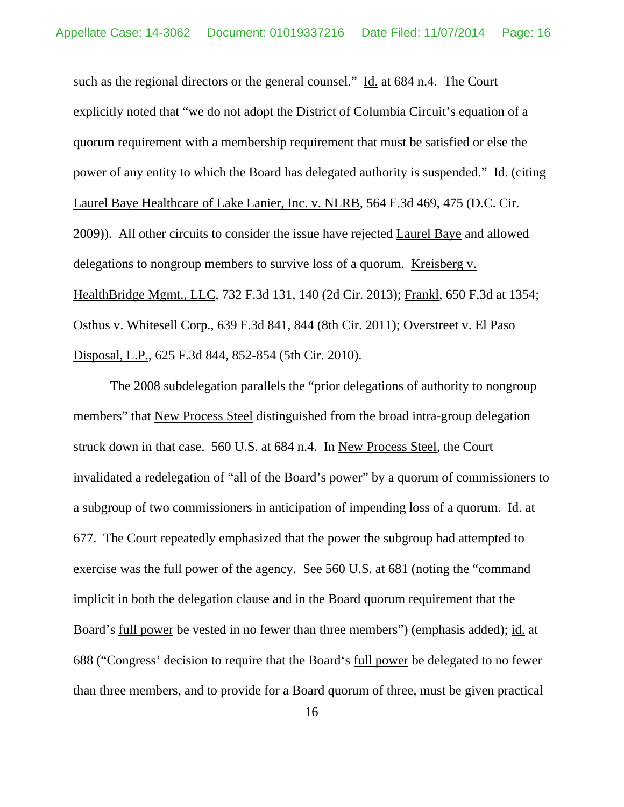such as the regional directors or the general counsel." Id. at 684 n.4. The Court explicitly noted that "we do not adopt the District of Columbia Circuit's equation of a quorum requirement with a membership requirement that must be satisfied or else the power of any entity to which the Board has delegated authority is suspended." Id. (citing Laurel Baye Healthcare of Lake Lanier, Inc. v. NLRB, 564 F.3d 469, 475 (D.C. Cir. 2009)). All other circuits to consider the issue have rejected Laurel Baye and allowed delegations to nongroup members to survive loss of a quorum. Kreisberg v. HealthBridge Mgmt., LLC, 732 F.3d 131, 140 (2d Cir. 2013); Frankl, 650 F.3d at 1354; Osthus v. Whitesell Corp., 639 F.3d 841, 844 (8th Cir. 2011); Overstreet v. El Paso Disposal, L.P., 625 F.3d 844, 852-854 (5th Cir. 2010).

The 2008 subdelegation parallels the "prior delegations of authority to nongroup members" that New Process Steel distinguished from the broad intra-group delegation struck down in that case. 560 U.S. at 684 n.4. In New Process Steel, the Court invalidated a redelegation of "all of the Board's power" by a quorum of commissioners to a subgroup of two commissioners in anticipation of impending loss of a quorum. Id. at 677. The Court repeatedly emphasized that the power the subgroup had attempted to exercise was the full power of the agency. See 560 U.S. at 681 (noting the "command implicit in both the delegation clause and in the Board quorum requirement that the Board's full power be vested in no fewer than three members") (emphasis added); id. at 688 ("Congress' decision to require that the Board's full power be delegated to no fewer than three members, and to provide for a Board quorum of three, must be given practical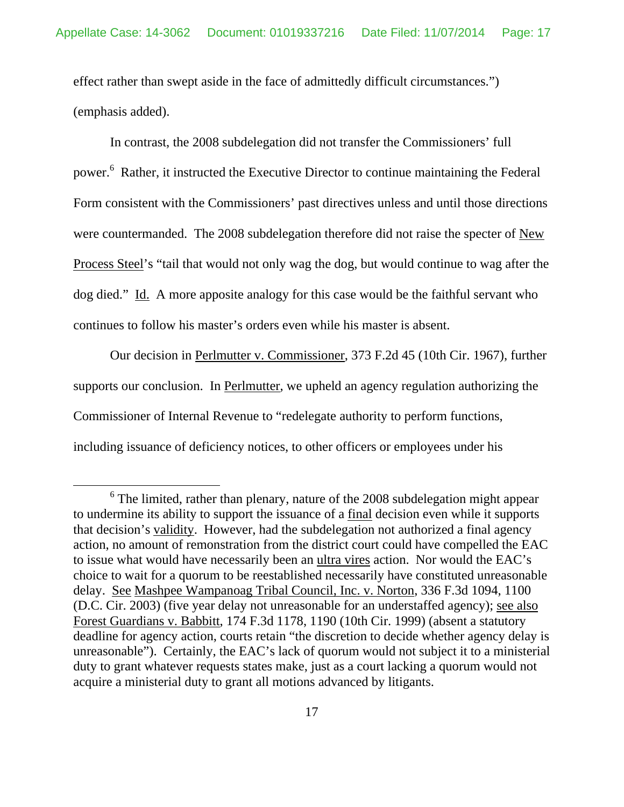effect rather than swept aside in the face of admittedly difficult circumstances.") (emphasis added).

In contrast, the 2008 subdelegation did not transfer the Commissioners' full power.<sup>6</sup> Rather, it instructed the Executive Director to continue maintaining the Federal Form consistent with the Commissioners' past directives unless and until those directions were countermanded. The 2008 subdelegation therefore did not raise the specter of New Process Steel's "tail that would not only wag the dog, but would continue to wag after the dog died." Id. A more apposite analogy for this case would be the faithful servant who continues to follow his master's orders even while his master is absent.

Our decision in Perlmutter v. Commissioner, 373 F.2d 45 (10th Cir. 1967), further supports our conclusion. In Perlmutter, we upheld an agency regulation authorizing the Commissioner of Internal Revenue to "redelegate authority to perform functions, including issuance of deficiency notices, to other officers or employees under his

 <sup>6</sup>  $6$  The limited, rather than plenary, nature of the 2008 subdelegation might appear to undermine its ability to support the issuance of a final decision even while it supports that decision's validity. However, had the subdelegation not authorized a final agency action, no amount of remonstration from the district court could have compelled the EAC to issue what would have necessarily been an ultra vires action. Nor would the EAC's choice to wait for a quorum to be reestablished necessarily have constituted unreasonable delay. See Mashpee Wampanoag Tribal Council, Inc. v. Norton, 336 F.3d 1094, 1100 (D.C. Cir. 2003) (five year delay not unreasonable for an understaffed agency); see also Forest Guardians v. Babbitt, 174 F.3d 1178, 1190 (10th Cir. 1999) (absent a statutory deadline for agency action, courts retain "the discretion to decide whether agency delay is unreasonable"). Certainly, the EAC's lack of quorum would not subject it to a ministerial duty to grant whatever requests states make, just as a court lacking a quorum would not acquire a ministerial duty to grant all motions advanced by litigants.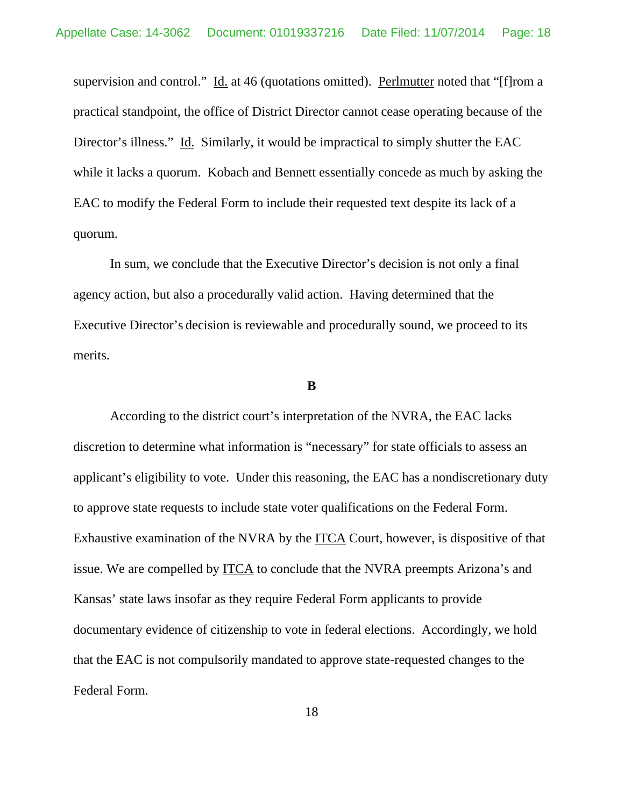supervision and control." Id. at 46 (quotations omitted). Perlmutter noted that "[f]rom a practical standpoint, the office of District Director cannot cease operating because of the Director's illness." Id. Similarly, it would be impractical to simply shutter the EAC while it lacks a quorum. Kobach and Bennett essentially concede as much by asking the EAC to modify the Federal Form to include their requested text despite its lack of a quorum.

 In sum, we conclude that the Executive Director's decision is not only a final agency action, but also a procedurally valid action. Having determined that the Executive Director's decision is reviewable and procedurally sound, we proceed to its merits.

#### **B**

According to the district court's interpretation of the NVRA, the EAC lacks discretion to determine what information is "necessary" for state officials to assess an applicant's eligibility to vote. Under this reasoning, the EAC has a nondiscretionary duty to approve state requests to include state voter qualifications on the Federal Form. Exhaustive examination of the NVRA by the ITCA Court, however, is dispositive of that issue. We are compelled by ITCA to conclude that the NVRA preempts Arizona's and Kansas' state laws insofar as they require Federal Form applicants to provide documentary evidence of citizenship to vote in federal elections. Accordingly, we hold that the EAC is not compulsorily mandated to approve state-requested changes to the Federal Form.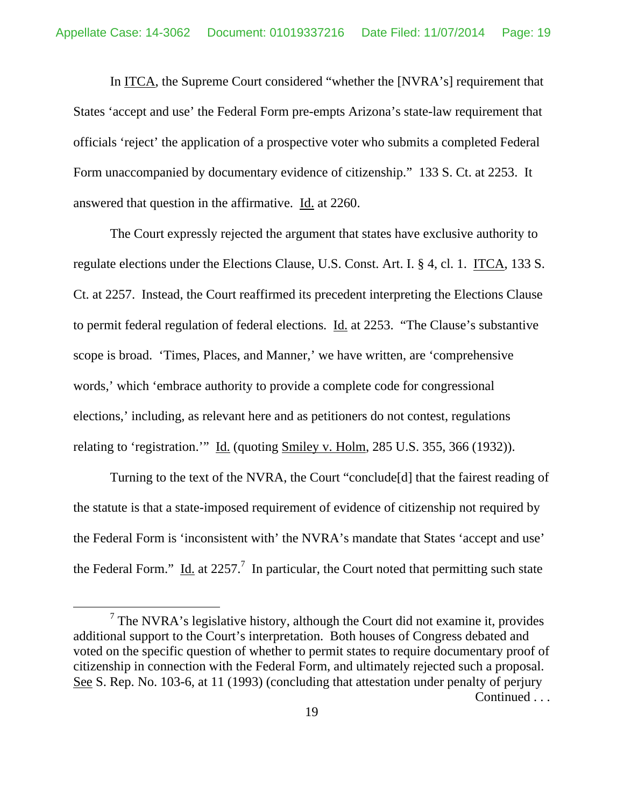In ITCA, the Supreme Court considered "whether the [NVRA's] requirement that States 'accept and use' the Federal Form pre-empts Arizona's state-law requirement that officials 'reject' the application of a prospective voter who submits a completed Federal Form unaccompanied by documentary evidence of citizenship." 133 S. Ct. at 2253. It answered that question in the affirmative. Id. at 2260.

The Court expressly rejected the argument that states have exclusive authority to regulate elections under the Elections Clause, U.S. Const. Art. I. § 4, cl. 1. ITCA, 133 S. Ct. at 2257. Instead, the Court reaffirmed its precedent interpreting the Elections Clause to permit federal regulation of federal elections. Id. at 2253. "The Clause's substantive scope is broad. 'Times, Places, and Manner,' we have written, are 'comprehensive words,' which 'embrace authority to provide a complete code for congressional elections,' including, as relevant here and as petitioners do not contest, regulations relating to 'registration.'" Id. (quoting Smiley v. Holm, 285 U.S. 355, 366 (1932)).

Turning to the text of the NVRA, the Court "conclude[d] that the fairest reading of the statute is that a state-imposed requirement of evidence of citizenship not required by the Federal Form is 'inconsistent with' the NVRA's mandate that States 'accept and use' the Federal Form." Id. at 2257.<sup>7</sup> In particular, the Court noted that permitting such state

 $\frac{1}{7}$  $7$  The NVRA's legislative history, although the Court did not examine it, provides additional support to the Court's interpretation. Both houses of Congress debated and voted on the specific question of whether to permit states to require documentary proof of citizenship in connection with the Federal Form, and ultimately rejected such a proposal. See S. Rep. No. 103-6, at 11 (1993) (concluding that attestation under penalty of perjury Continued . . .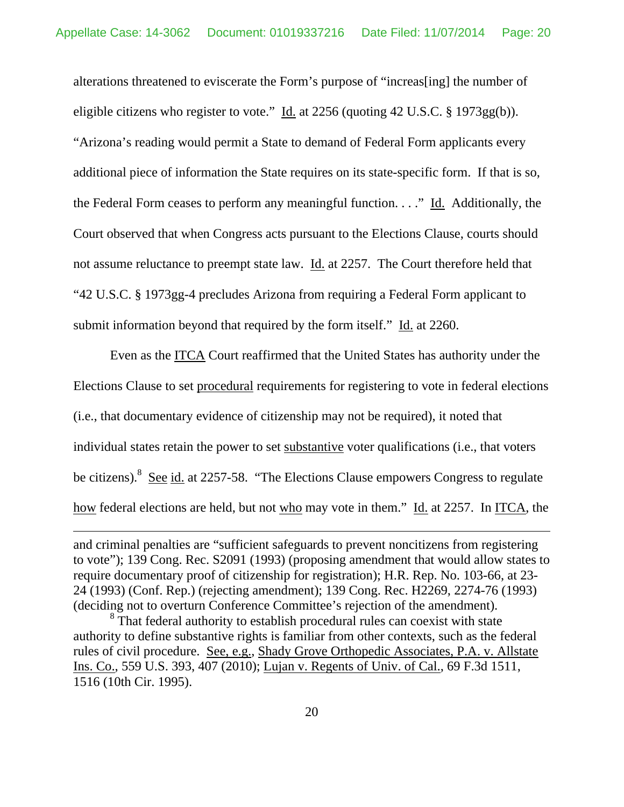alterations threatened to eviscerate the Form's purpose of "increas[ing] the number of eligible citizens who register to vote."  $\underline{Id}$  at 2256 (quoting 42 U.S.C. § 1973gg(b)). "Arizona's reading would permit a State to demand of Federal Form applicants every additional piece of information the State requires on its state-specific form. If that is so, the Federal Form ceases to perform any meaningful function. . . ." Id. Additionally, the Court observed that when Congress acts pursuant to the Elections Clause, courts should not assume reluctance to preempt state law. Id. at 2257. The Court therefore held that "42 U.S.C. § 1973gg-4 precludes Arizona from requiring a Federal Form applicant to submit information beyond that required by the form itself." Id. at 2260.

Even as the ITCA Court reaffirmed that the United States has authority under the Elections Clause to set procedural requirements for registering to vote in federal elections (i.e., that documentary evidence of citizenship may not be required), it noted that individual states retain the power to set substantive voter qualifications (i.e., that voters be citizens).<sup>8</sup> See id. at 2257-58. "The Elections Clause empowers Congress to regulate how federal elections are held, but not who may vote in them." Id. at 2257. In ITCA, the

 $\overline{a}$ 

and criminal penalties are "sufficient safeguards to prevent noncitizens from registering to vote"); 139 Cong. Rec. S2091 (1993) (proposing amendment that would allow states to require documentary proof of citizenship for registration); H.R. Rep. No. 103-66, at 23- 24 (1993) (Conf. Rep.) (rejecting amendment); 139 Cong. Rec. H2269, 2274-76 (1993) (deciding not to overturn Conference Committee's rejection of the amendment).

<sup>&</sup>lt;sup>8</sup> That federal authority to establish procedural rules can coexist with state authority to define substantive rights is familiar from other contexts, such as the federal rules of civil procedure. See, e.g., Shady Grove Orthopedic Associates, P.A. v. Allstate Ins. Co., 559 U.S. 393, 407 (2010); Lujan v. Regents of Univ. of Cal., 69 F.3d 1511, 1516 (10th Cir. 1995).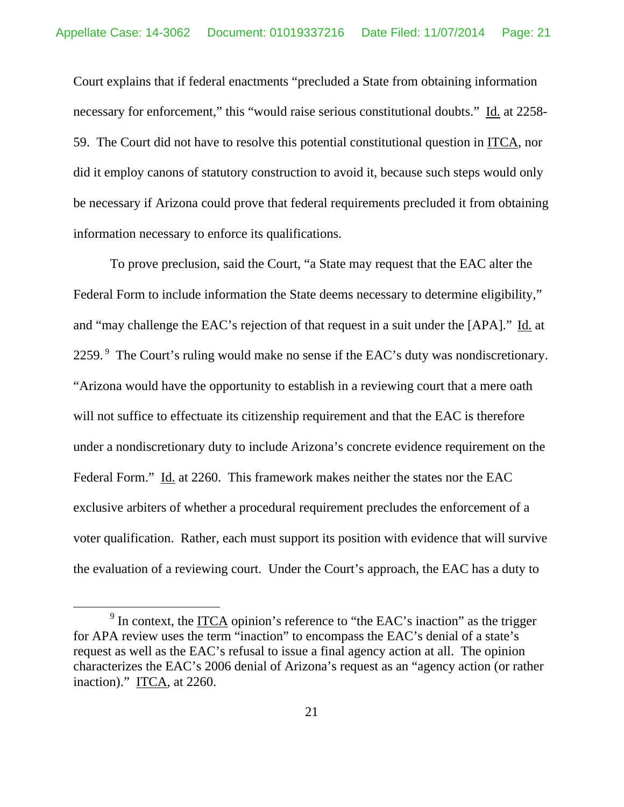Court explains that if federal enactments "precluded a State from obtaining information necessary for enforcement," this "would raise serious constitutional doubts." Id. at 2258-59. The Court did not have to resolve this potential constitutional question in ITCA, nor did it employ canons of statutory construction to avoid it, because such steps would only be necessary if Arizona could prove that federal requirements precluded it from obtaining information necessary to enforce its qualifications.

To prove preclusion, said the Court, "a State may request that the EAC alter the Federal Form to include information the State deems necessary to determine eligibility," and "may challenge the EAC's rejection of that request in a suit under the [APA]." Id. at 2259.<sup>9</sup> The Court's ruling would make no sense if the EAC's duty was nondiscretionary. "Arizona would have the opportunity to establish in a reviewing court that a mere oath will not suffice to effectuate its citizenship requirement and that the EAC is therefore under a nondiscretionary duty to include Arizona's concrete evidence requirement on the Federal Form." Id. at 2260. This framework makes neither the states nor the EAC exclusive arbiters of whether a procedural requirement precludes the enforcement of a voter qualification. Rather, each must support its position with evidence that will survive the evaluation of a reviewing court. Under the Court's approach, the EAC has a duty to

 $\frac{1}{9}$  $\frac{9}{10}$  In context, the <u>ITCA</u> opinion's reference to "the EAC's inaction" as the trigger for APA review uses the term "inaction" to encompass the EAC's denial of a state's request as well as the EAC's refusal to issue a final agency action at all. The opinion characterizes the EAC's 2006 denial of Arizona's request as an "agency action (or rather inaction)." ITCA, at  $2260$ .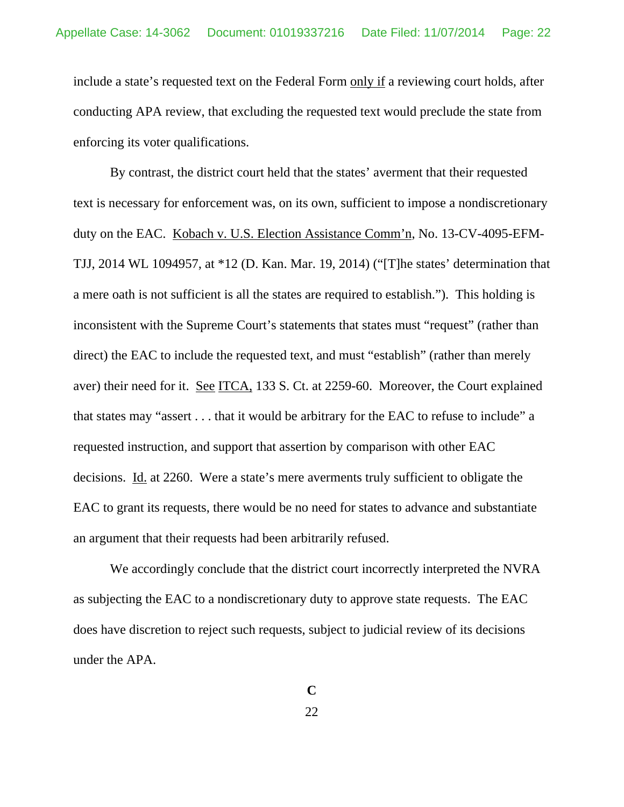include a state's requested text on the Federal Form only if a reviewing court holds, after conducting APA review, that excluding the requested text would preclude the state from enforcing its voter qualifications.

By contrast, the district court held that the states' averment that their requested text is necessary for enforcement was, on its own, sufficient to impose a nondiscretionary duty on the EAC. Kobach v. U.S. Election Assistance Comm'n, No. 13-CV-4095-EFM-TJJ, 2014 WL 1094957, at \*12 (D. Kan. Mar. 19, 2014) ("[T]he states' determination that a mere oath is not sufficient is all the states are required to establish."). This holding is inconsistent with the Supreme Court's statements that states must "request" (rather than direct) the EAC to include the requested text, and must "establish" (rather than merely aver) their need for it. See ITCA, 133 S. Ct. at 2259-60. Moreover, the Court explained that states may "assert . . . that it would be arbitrary for the EAC to refuse to include" a requested instruction, and support that assertion by comparison with other EAC decisions. Id. at 2260.Were a state's mere averments truly sufficient to obligate the EAC to grant its requests, there would be no need for states to advance and substantiate an argument that their requests had been arbitrarily refused.

We accordingly conclude that the district court incorrectly interpreted the NVRA as subjecting the EAC to a nondiscretionary duty to approve state requests. The EAC does have discretion to reject such requests, subject to judicial review of its decisions under the APA.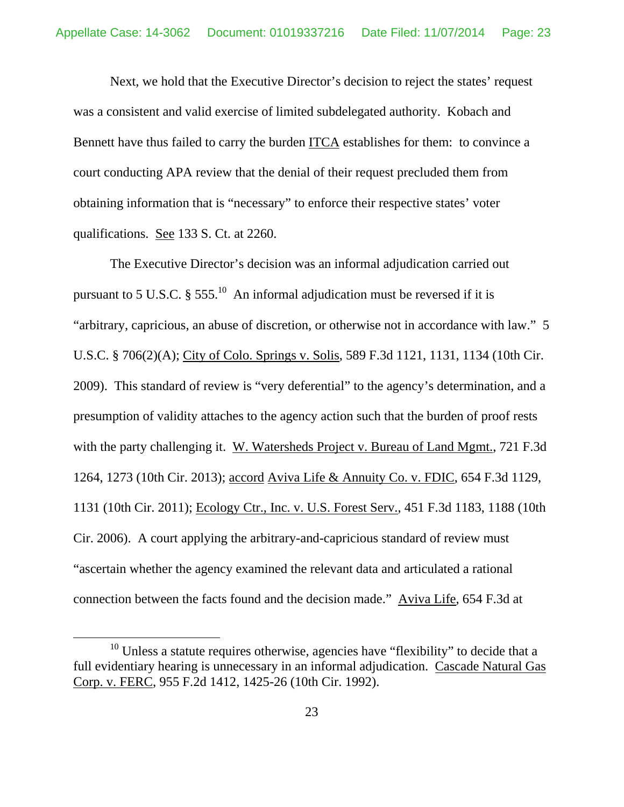Next, we hold that the Executive Director's decision to reject the states' request was a consistent and valid exercise of limited subdelegated authority. Kobach and Bennett have thus failed to carry the burden ITCA establishes for them: to convince a court conducting APA review that the denial of their request precluded them from obtaining information that is "necessary" to enforce their respective states' voter qualifications. See 133 S. Ct. at 2260.

The Executive Director's decision was an informal adjudication carried out pursuant to 5 U.S.C.  $\S 555$ <sup>10</sup> An informal adjudication must be reversed if it is "arbitrary, capricious, an abuse of discretion, or otherwise not in accordance with law." 5 U.S.C. § 706(2)(A); City of Colo. Springs v. Solis, 589 F.3d 1121, 1131, 1134 (10th Cir. 2009). This standard of review is "very deferential" to the agency's determination, and a presumption of validity attaches to the agency action such that the burden of proof rests with the party challenging it. W. Watersheds Project v. Bureau of Land Mgmt., 721 F.3d 1264, 1273 (10th Cir. 2013); accord Aviva Life & Annuity Co. v. FDIC, 654 F.3d 1129, 1131 (10th Cir. 2011); Ecology Ctr., Inc. v. U.S. Forest Serv., 451 F.3d 1183, 1188 (10th Cir. 2006). A court applying the arbitrary-and-capricious standard of review must "ascertain whether the agency examined the relevant data and articulated a rational connection between the facts found and the decision made." Aviva Life, 654 F.3d at

 $10$  Unless a statute requires otherwise, agencies have "flexibility" to decide that a full evidentiary hearing is unnecessary in an informal adjudication. Cascade Natural Gas Corp. v. FERC, 955 F.2d 1412, 1425-26 (10th Cir. 1992).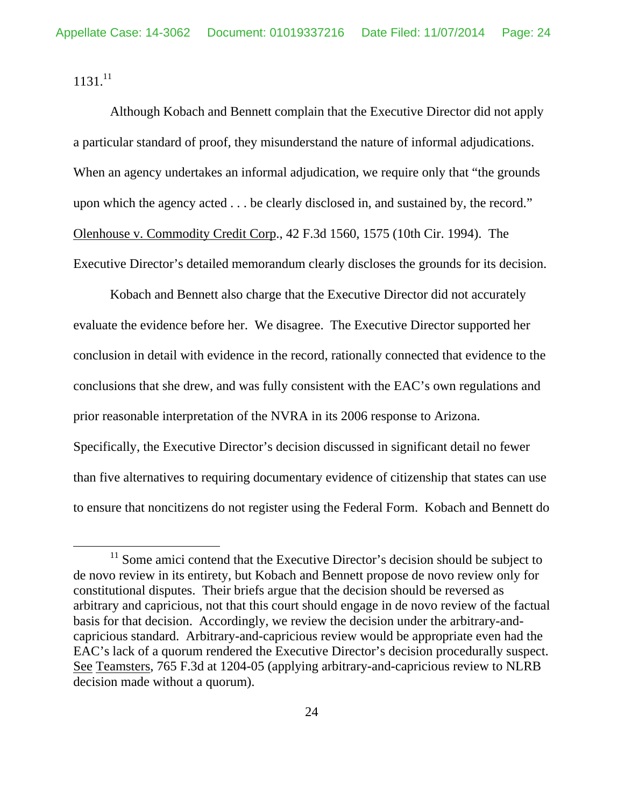$1131.<sup>11</sup>$ 

Although Kobach and Bennett complain that the Executive Director did not apply a particular standard of proof, they misunderstand the nature of informal adjudications. When an agency undertakes an informal adjudication, we require only that "the grounds upon which the agency acted . . . be clearly disclosed in, and sustained by, the record." Olenhouse v. Commodity Credit Corp., 42 F.3d 1560, 1575 (10th Cir. 1994). The Executive Director's detailed memorandum clearly discloses the grounds for its decision.

Kobach and Bennett also charge that the Executive Director did not accurately evaluate the evidence before her. We disagree. The Executive Director supported her conclusion in detail with evidence in the record, rationally connected that evidence to the conclusions that she drew, and was fully consistent with the EAC's own regulations and prior reasonable interpretation of the NVRA in its 2006 response to Arizona. Specifically, the Executive Director's decision discussed in significant detail no fewer than five alternatives to requiring documentary evidence of citizenship that states can use to ensure that noncitizens do not register using the Federal Form. Kobach and Bennett do

 $11$  Some amici contend that the Executive Director's decision should be subject to de novo review in its entirety, but Kobach and Bennett propose de novo review only for constitutional disputes. Their briefs argue that the decision should be reversed as arbitrary and capricious, not that this court should engage in de novo review of the factual basis for that decision. Accordingly, we review the decision under the arbitrary-andcapricious standard. Arbitrary-and-capricious review would be appropriate even had the EAC's lack of a quorum rendered the Executive Director's decision procedurally suspect. See Teamsters, 765 F.3d at 1204-05 (applying arbitrary-and-capricious review to NLRB decision made without a quorum).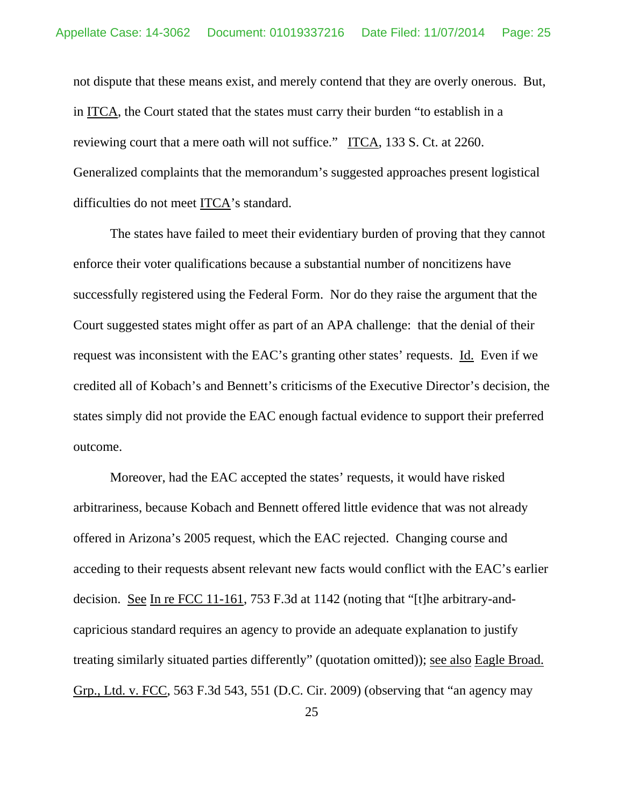not dispute that these means exist, and merely contend that they are overly onerous. But, in ITCA, the Court stated that the states must carry their burden "to establish in a reviewing court that a mere oath will not suffice." ITCA, 133 S. Ct. at 2260. Generalized complaints that the memorandum's suggested approaches present logistical difficulties do not meet ITCA's standard.

The states have failed to meet their evidentiary burden of proving that they cannot enforce their voter qualifications because a substantial number of noncitizens have successfully registered using the Federal Form. Nor do they raise the argument that the Court suggested states might offer as part of an APA challenge: that the denial of their request was inconsistent with the EAC's granting other states' requests. Id. Even if we credited all of Kobach's and Bennett's criticisms of the Executive Director's decision, the states simply did not provide the EAC enough factual evidence to support their preferred outcome.

Moreover, had the EAC accepted the states' requests, it would have risked arbitrariness, because Kobach and Bennett offered little evidence that was not already offered in Arizona's 2005 request, which the EAC rejected. Changing course and acceding to their requests absent relevant new facts would conflict with the EAC's earlier decision. See In re FCC 11-161, 753 F.3d at 1142 (noting that "[t]he arbitrary-andcapricious standard requires an agency to provide an adequate explanation to justify treating similarly situated parties differently" (quotation omitted)); see also Eagle Broad. Grp., Ltd. v. FCC, 563 F.3d 543, 551 (D.C. Cir. 2009) (observing that "an agency may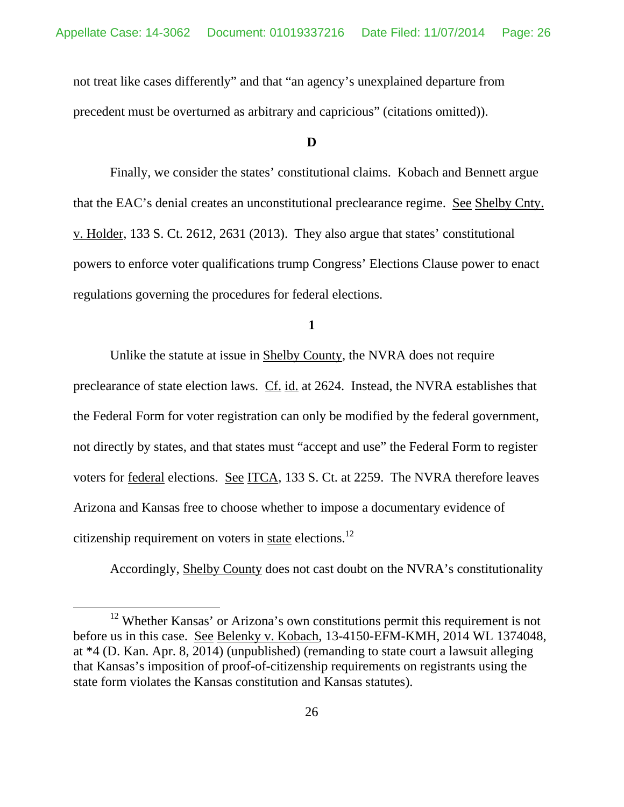not treat like cases differently" and that "an agency's unexplained departure from precedent must be overturned as arbitrary and capricious" (citations omitted)).

## **D**

Finally, we consider the states' constitutional claims. Kobach and Bennett argue that the EAC's denial creates an unconstitutional preclearance regime. See Shelby Cnty. v. Holder, 133 S. Ct. 2612, 2631 (2013). They also argue that states' constitutional powers to enforce voter qualifications trump Congress' Elections Clause power to enact regulations governing the procedures for federal elections.

**1** 

Unlike the statute at issue in Shelby County, the NVRA does not require preclearance of state election laws. Cf. id. at 2624. Instead, the NVRA establishes that the Federal Form for voter registration can only be modified by the federal government, not directly by states, and that states must "accept and use" the Federal Form to register voters for federal elections. See ITCA, 133 S. Ct. at 2259. The NVRA therefore leaves Arizona and Kansas free to choose whether to impose a documentary evidence of citizenship requirement on voters in state elections.<sup>12</sup>

Accordingly, Shelby County does not cast doubt on the NVRA's constitutionality

<sup>&</sup>lt;sup>12</sup> Whether Kansas' or Arizona's own constitutions permit this requirement is not before us in this case. See Belenky v. Kobach, 13-4150-EFM-KMH, 2014 WL 1374048, at \*4 (D. Kan. Apr. 8, 2014) (unpublished) (remanding to state court a lawsuit alleging that Kansas's imposition of proof-of-citizenship requirements on registrants using the state form violates the Kansas constitution and Kansas statutes).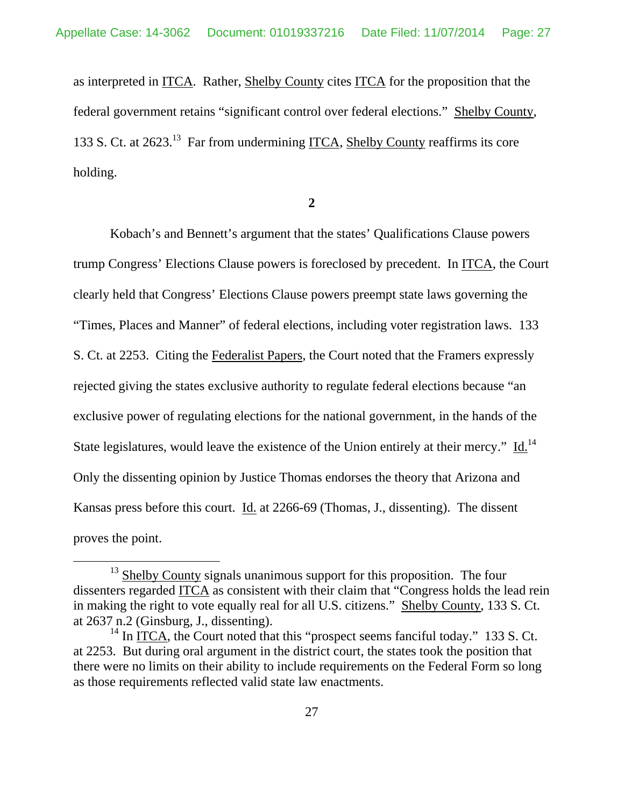as interpreted in ITCA. Rather, Shelby County cites ITCA for the proposition that the federal government retains "significant control over federal elections." Shelby County, 133 S. Ct. at 2623.13 Far from undermining ITCA, Shelby County reaffirms its core holding.

**2** 

Kobach's and Bennett's argument that the states' Qualifications Clause powers trump Congress' Elections Clause powers is foreclosed by precedent. In ITCA, the Court clearly held that Congress' Elections Clause powers preempt state laws governing the "Times, Places and Manner" of federal elections, including voter registration laws. 133 S. Ct. at 2253. Citing the Federalist Papers, the Court noted that the Framers expressly rejected giving the states exclusive authority to regulate federal elections because "an exclusive power of regulating elections for the national government, in the hands of the State legislatures, would leave the existence of the Union entirely at their mercy." Id.<sup>14</sup> Only the dissenting opinion by Justice Thomas endorses the theory that Arizona and Kansas press before this court. Id. at 2266-69 (Thomas, J., dissenting). The dissent proves the point.

 $13$  Shelby County signals unanimous support for this proposition. The four dissenters regarded ITCA as consistent with their claim that "Congress holds the lead rein in making the right to vote equally real for all U.S. citizens." Shelby County, 133 S. Ct. at 2637 n.2 (Ginsburg, J., dissenting).

 $14$  In ITCA, the Court noted that this "prospect seems fanciful today." 133 S. Ct. at 2253. But during oral argument in the district court, the states took the position that there were no limits on their ability to include requirements on the Federal Form so long as those requirements reflected valid state law enactments.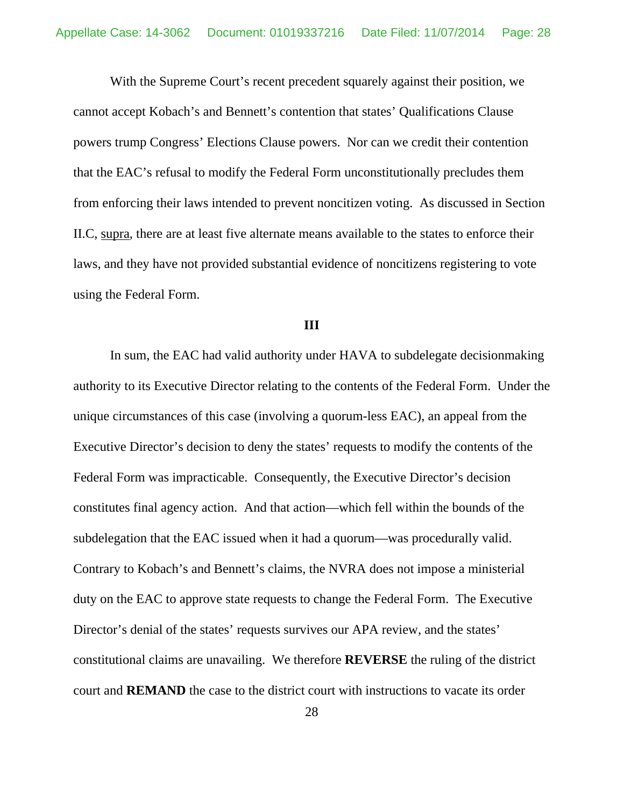With the Supreme Court's recent precedent squarely against their position, we cannot accept Kobach's and Bennett's contention that states' Qualifications Clause powers trump Congress' Elections Clause powers. Nor can we credit their contention that the EAC's refusal to modify the Federal Form unconstitutionally precludes them from enforcing their laws intended to prevent noncitizen voting. As discussed in Section II.C, supra, there are at least five alternate means available to the states to enforce their laws, and they have not provided substantial evidence of noncitizens registering to vote using the Federal Form.

#### **III**

 In sum, the EAC had valid authority under HAVA to subdelegate decisionmaking authority to its Executive Director relating to the contents of the Federal Form. Under the unique circumstances of this case (involving a quorum-less EAC), an appeal from the Executive Director's decision to deny the states' requests to modify the contents of the Federal Form was impracticable. Consequently, the Executive Director's decision constitutes final agency action. And that action—which fell within the bounds of the subdelegation that the EAC issued when it had a quorum—was procedurally valid. Contrary to Kobach's and Bennett's claims, the NVRA does not impose a ministerial duty on the EAC to approve state requests to change the Federal Form. The Executive Director's denial of the states' requests survives our APA review, and the states' constitutional claims are unavailing. We therefore **REVERSE** the ruling of the district court and **REMAND** the case to the district court with instructions to vacate its order